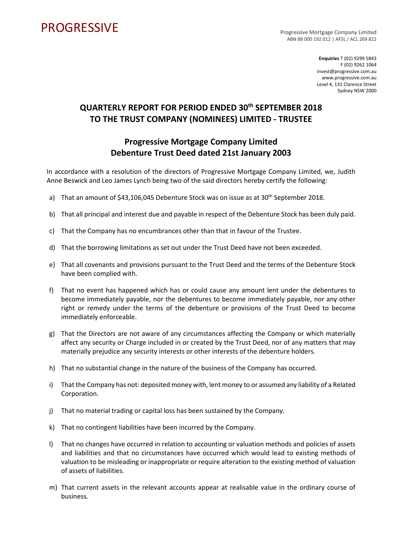## **PROGRESSIVE**

Progressive Mortgage Company Limited ABN 88 000 192 012 | AFSL / ACL 269 822

> **Enquiries** T (02) 9299 5843 F (02) 9262 1064 invest@progressive.com.au www.progressive.com.au Level 4, 131 Clarence Street Sydney NSW 2000

## **QUARTERLY REPORT FOR PERIOD ENDED 30th SEPTEMBER 2018 TO THE TRUST COMPANY (NOMINEES) LIMITED - TRUSTEE**

## **Progressive Mortgage Company Limited Debenture Trust Deed dated 21st January 2003**

In accordance with a resolution of the directors of Progressive Mortgage Company Limited, we, Judith Anne Beswick and Leo James Lynch being two of the said directors hereby certify the following:

- a) That an amount of \$43,106,045 Debenture Stock was on issue as at 30<sup>th</sup> September 2018.
- b) That all principal and interest due and payable in respect of the Debenture Stock has been duly paid.
- c) That the Company has no encumbrances other than that in favour of the Trustee.
- d) That the borrowing limitations as set out under the Trust Deed have not been exceeded.
- e) That all covenants and provisions pursuant to the Trust Deed and the terms of the Debenture Stock have been complied with.
- f) That no event has happened which has or could cause any amount lent under the debentures to become immediately payable, nor the debentures to become immediately payable, nor any other right or remedy under the terms of the debenture or provisions of the Trust Deed to become immediately enforceable.
- g) That the Directors are not aware of any circumstances affecting the Company or which materially affect any security or Charge included in or created by the Trust Deed, nor of any matters that may materially prejudice any security interests or other interests of the debenture holders.
- h) That no substantial change in the nature of the business of the Company has occurred.
- i) That the Company has not: deposited money with, lent money to or assumed any liability of a Related Corporation.
- j) That no material trading or capital loss has been sustained by the Company.
- k) That no contingent liabilities have been incurred by the Company.
- l) That no changes have occurred in relation to accounting or valuation methods and policies of assets and liabilities and that no circumstances have occurred which would lead to existing methods of valuation to be misleading or inappropriate or require alteration to the existing method of valuation of assets of liabilities.
- m) That current assets in the relevant accounts appear at realisable value in the ordinary course of business.